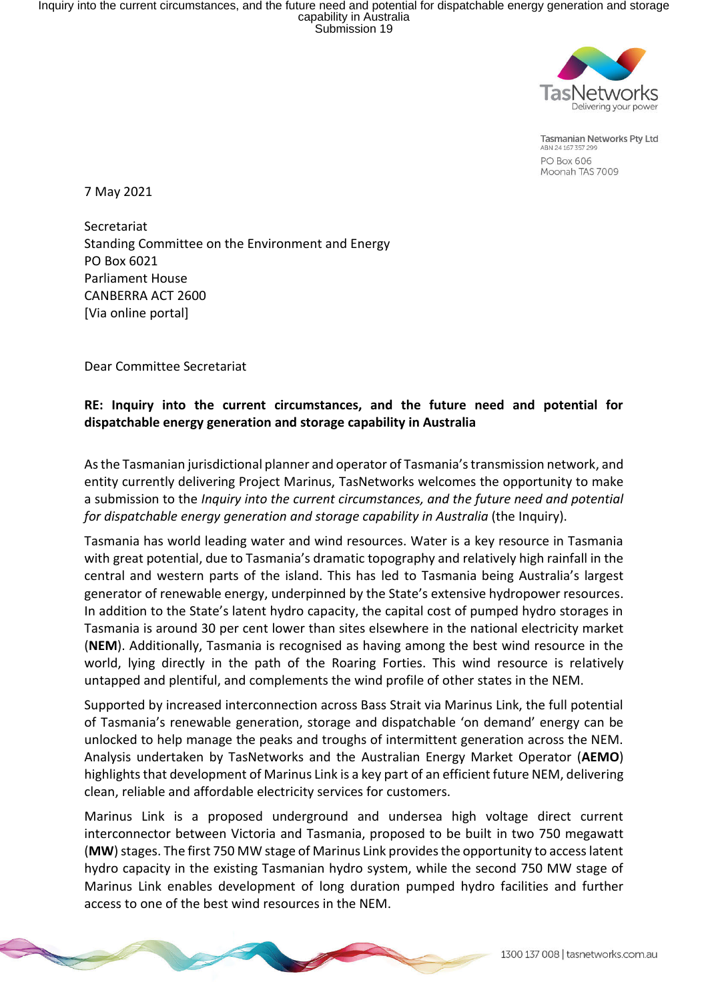

**Tasmanian Networks Pty Ltd** ABN 24 167 357 299 PO Box 606 Moonah TAS 7009

7 May 2021

Secretariat Standing Committee on the Environment and Energy PO Box 6021 Parliament House CANBERRA ACT 2600 [Via online portal]

Dear Committee Secretariat

# **RE: Inquiry into the current circumstances, and the future need and potential for dispatchable energy generation and storage capability in Australia**

As the Tasmanian jurisdictional planner and operator of Tasmania's transmission network, and entity currently delivering Project Marinus, TasNetworks welcomes the opportunity to make a submission to the *Inquiry into the current circumstances, and the future need and potential for dispatchable energy generation and storage capability in Australia* (the Inquiry).

Tasmania has world leading water and wind resources. Water is a key resource in Tasmania with great potential, due to Tasmania's dramatic topography and relatively high rainfall in the central and western parts of the island. This has led to Tasmania being Australia's largest generator of renewable energy, underpinned by the State's extensive hydropower resources. In addition to the State's latent hydro capacity, the capital cost of pumped hydro storages in Tasmania is around 30 per cent lower than sites elsewhere in the national electricity market (**NEM**). Additionally, Tasmania is recognised as having among the best wind resource in the world, lying directly in the path of the Roaring Forties. This wind resource is relatively untapped and plentiful, and complements the wind profile of other states in the NEM.

Supported by increased interconnection across Bass Strait via Marinus Link, the full potential of Tasmania's renewable generation, storage and dispatchable 'on demand' energy can be unlocked to help manage the peaks and troughs of intermittent generation across the NEM. Analysis undertaken by TasNetworks and the Australian Energy Market Operator (**AEMO**) highlights that development of Marinus Link is a key part of an efficient future NEM, delivering clean, reliable and affordable electricity services for customers.

Marinus Link is a proposed underground and undersea high voltage direct current interconnector between Victoria and Tasmania, proposed to be built in two 750 megawatt (**MW**) stages. The first 750 MW stage of Marinus Link provides the opportunity to access latent hydro capacity in the existing Tasmanian hydro system, while the second 750 MW stage of Marinus Link enables development of long duration pumped hydro facilities and further access to one of the best wind resources in the NEM.

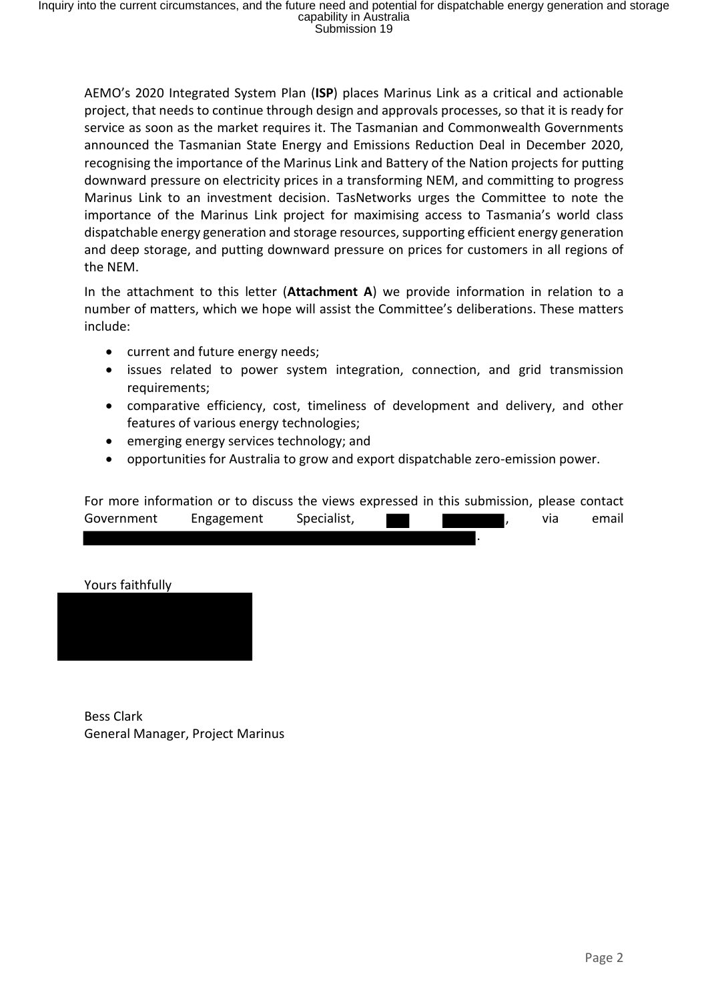AEMO's 2020 Integrated System Plan (**ISP**) places Marinus Link as a critical and actionable project, that needs to continue through design and approvals processes, so that it is ready for service as soon as the market requires it. The Tasmanian and Commonwealth Governments announced the Tasmanian State Energy and Emissions Reduction Deal in December 2020, recognising the importance of the Marinus Link and Battery of the Nation projects for putting downward pressure on electricity prices in a transforming NEM, and committing to progress Marinus Link to an investment decision. TasNetworks urges the Committee to note the importance of the Marinus Link project for maximising access to Tasmania's world class dispatchable energy generation and storage resources, supporting efficient energy generation and deep storage, and putting downward pressure on prices for customers in all regions of the NEM.

In the attachment to this letter (**Attachment A**) we provide information in relation to a number of matters, which we hope will assist the Committee's deliberations. These matters include:

- current and future energy needs;
- issues related to power system integration, connection, and grid transmission requirements;
- comparative efficiency, cost, timeliness of development and delivery, and other features of various energy technologies;
- emerging energy services technology; and
- opportunities for Australia to grow and export dispatchable zero-emission power.

| For more information or to discuss the views expressed in this submission, please contact |            |             |  |     |       |
|-------------------------------------------------------------------------------------------|------------|-------------|--|-----|-------|
| Government                                                                                | Engagement | Specialist, |  | via | email |
|                                                                                           |            |             |  |     |       |

#### Yours faithfully



Bess Clark General Manager, Project Marinus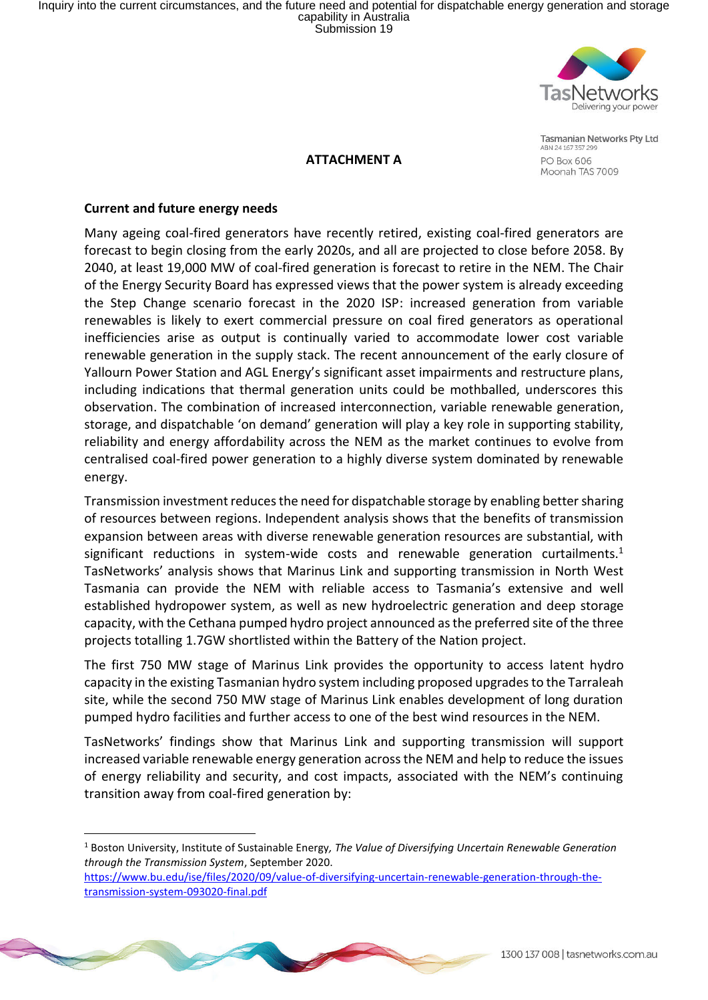Inquiry into the current circumstances, and the future need and potential for dispatchable energy generation and storage<br>capability in Australia<br>Submission 19



**ATTACHMENT A**

**Tasmanian Networks Pty Ltd** ABN 24 167 357 299 PO Box 606 Moonah TAS 7009

#### **Current and future energy needs**

 $\overline{a}$ 

Many ageing coal-fired generators have recently retired, existing coal-fired generators are forecast to begin closing from the early 2020s, and all are projected to close before 2058. By 2040, at least 19,000 MW of coal-fired generation is forecast to retire in the NEM. The Chair of the Energy Security Board has expressed views that the power system is already exceeding the Step Change scenario forecast in the 2020 ISP: increased generation from variable renewables is likely to exert commercial pressure on coal fired generators as operational inefficiencies arise as output is continually varied to accommodate lower cost variable renewable generation in the supply stack. The recent announcement of the early closure of Yallourn Power Station and AGL Energy's significant asset impairments and restructure plans, including indications that thermal generation units could be mothballed, underscores this observation. The combination of increased interconnection, variable renewable generation, storage, and dispatchable 'on demand' generation will play a key role in supporting stability, reliability and energy affordability across the NEM as the market continues to evolve from centralised coal-fired power generation to a highly diverse system dominated by renewable energy.

Transmission investment reduces the need for dispatchable storage by enabling better sharing of resources between regions. Independent analysis shows that the benefits of transmission expansion between areas with diverse renewable generation resources are substantial, with significant reductions in system-wide costs and renewable generation curtailments.<sup>1</sup> TasNetworks' analysis shows that Marinus Link and supporting transmission in North West Tasmania can provide the NEM with reliable access to Tasmania's extensive and well established hydropower system, as well as new hydroelectric generation and deep storage capacity, with the Cethana pumped hydro project announced as the preferred site of the three projects totalling 1.7GW shortlisted within the Battery of the Nation project.

The first 750 MW stage of Marinus Link provides the opportunity to access latent hydro capacity in the existing Tasmanian hydro system including proposed upgrades to the Tarraleah site, while the second 750 MW stage of Marinus Link enables development of long duration pumped hydro facilities and further access to one of the best wind resources in the NEM.

TasNetworks' findings show that Marinus Link and supporting transmission will support increased variable renewable energy generation across the NEM and help to reduce the issues of energy reliability and security, and cost impacts, associated with the NEM's continuing transition away from coal-fired generation by:

<sup>1</sup> Boston University, Institute of Sustainable Energy*, The Value of Diversifying Uncertain Renewable Generation through the Transmission System*, September 2020.

https://www.bu.edu/ise/files/2020/09/value-of-diversifying-uncertain-renewable-generation-through-thetransmission-system-093020-final.pdf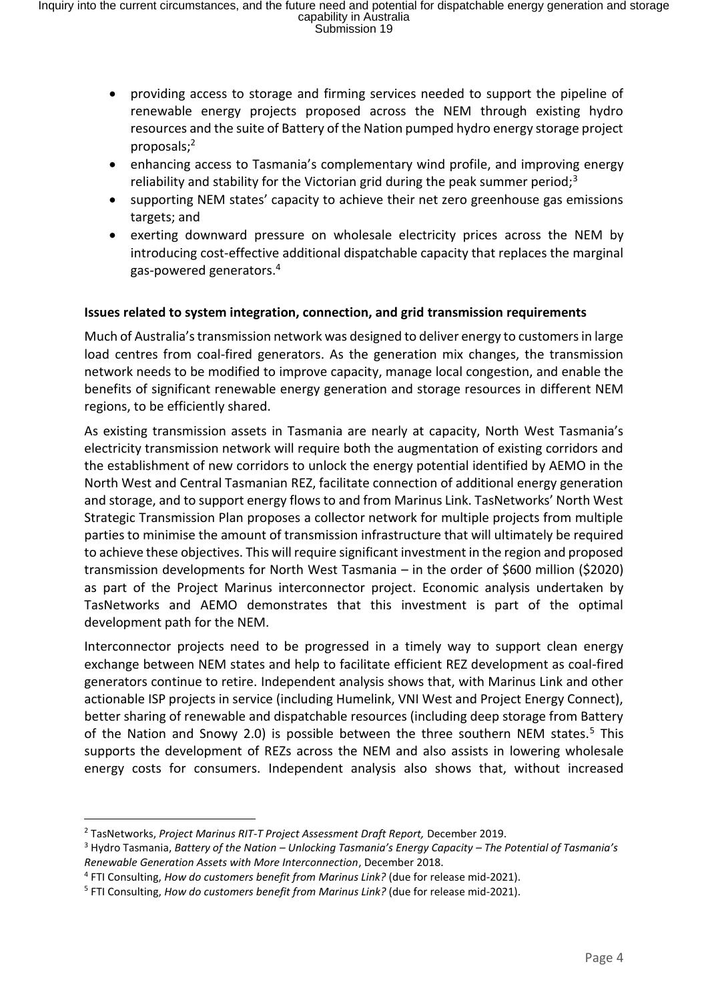- providing access to storage and firming services needed to support the pipeline of renewable energy projects proposed across the NEM through existing hydro resources and the suite of Battery of the Nation pumped hydro energy storage project proposals;<sup>2</sup>
- enhancing access to Tasmania's complementary wind profile, and improving energy reliability and stability for the Victorian grid during the peak summer period; $3$
- supporting NEM states' capacity to achieve their net zero greenhouse gas emissions targets; and
- exerting downward pressure on wholesale electricity prices across the NEM by introducing cost-effective additional dispatchable capacity that replaces the marginal gas-powered generators.<sup>4</sup>

# **Issues related to system integration, connection, and grid transmission requirements**

Much of Australia'stransmission network was designed to deliver energy to customers in large load centres from coal-fired generators. As the generation mix changes, the transmission network needs to be modified to improve capacity, manage local congestion, and enable the benefits of significant renewable energy generation and storage resources in different NEM regions, to be efficiently shared.

As existing transmission assets in Tasmania are nearly at capacity, North West Tasmania's electricity transmission network will require both the augmentation of existing corridors and the establishment of new corridors to unlock the energy potential identified by AEMO in the North West and Central Tasmanian REZ, facilitate connection of additional energy generation and storage, and to support energy flows to and from Marinus Link. TasNetworks' North West Strategic Transmission Plan proposes a collector network for multiple projects from multiple parties to minimise the amount of transmission infrastructure that will ultimately be required to achieve these objectives. This will require significant investment in the region and proposed transmission developments for North West Tasmania – in the order of \$600 million (\$2020) as part of the Project Marinus interconnector project. Economic analysis undertaken by TasNetworks and AEMO demonstrates that this investment is part of the optimal development path for the NEM.

Interconnector projects need to be progressed in a timely way to support clean energy exchange between NEM states and help to facilitate efficient REZ development as coal-fired generators continue to retire. Independent analysis shows that, with Marinus Link and other actionable ISP projects in service (including Humelink, VNI West and Project Energy Connect), better sharing of renewable and dispatchable resources (including deep storage from Battery of the Nation and Snowy 2.0) is possible between the three southern NEM states.<sup>5</sup> This supports the development of REZs across the NEM and also assists in lowering wholesale energy costs for consumers. Independent analysis also shows that, without increased

 $\overline{a}$ <sup>2</sup> TasNetworks, *Project Marinus RIT-T Project Assessment Draft Report,* December 2019.

<sup>3</sup> Hydro Tasmania, *Battery of the Nation – Unlocking Tasmania's Energy Capacity – The Potential of Tasmania's Renewable Generation Assets with More Interconnection*, December 2018.

<sup>4</sup> FTI Consulting, *How do customers benefit from Marinus Link?* (due for release mid-2021).

<sup>5</sup> FTI Consulting, *How do customers benefit from Marinus Link?* (due for release mid-2021).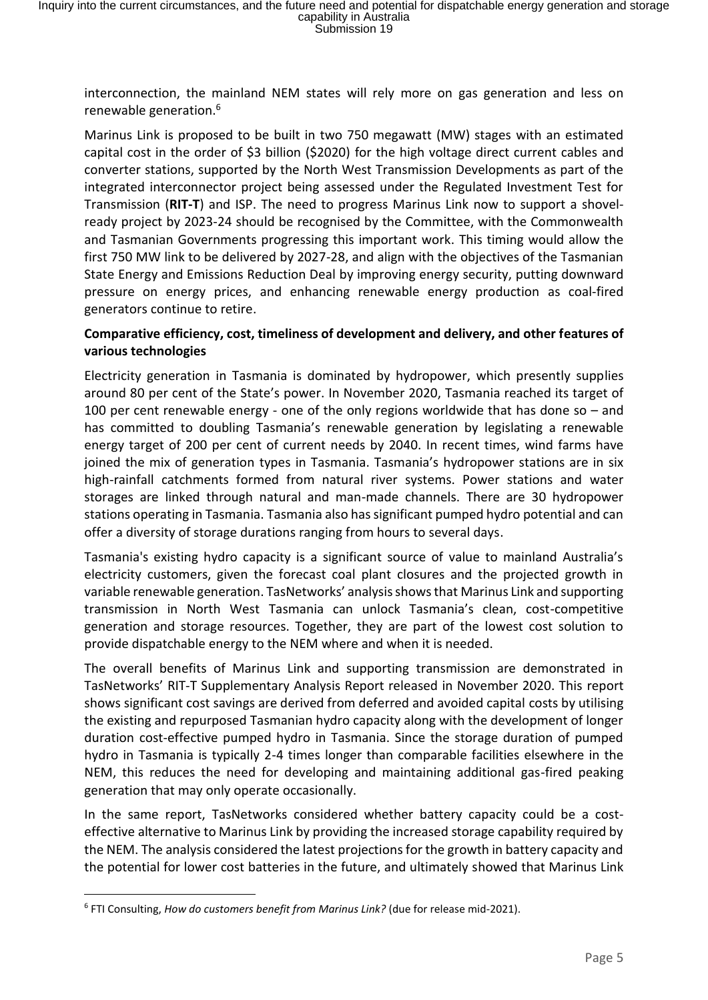interconnection, the mainland NEM states will rely more on gas generation and less on renewable generation.<sup>6</sup>

Marinus Link is proposed to be built in two 750 megawatt (MW) stages with an estimated capital cost in the order of \$3 billion (\$2020) for the high voltage direct current cables and converter stations, supported by the North West Transmission Developments as part of the integrated interconnector project being assessed under the Regulated Investment Test for Transmission (**RIT-T**) and ISP. The need to progress Marinus Link now to support a shovelready project by 2023-24 should be recognised by the Committee, with the Commonwealth and Tasmanian Governments progressing this important work. This timing would allow the first 750 MW link to be delivered by 2027-28, and align with the objectives of the Tasmanian State Energy and Emissions Reduction Deal by improving energy security, putting downward pressure on energy prices, and enhancing renewable energy production as coal-fired generators continue to retire.

# **Comparative efficiency, cost, timeliness of development and delivery, and other features of various technologies**

Electricity generation in Tasmania is dominated by hydropower, which presently supplies around 80 per cent of the State's power. In November 2020, Tasmania reached its target of 100 per cent renewable energy - one of the only regions worldwide that has done so  $-$  and has committed to doubling Tasmania's renewable generation by legislating a renewable energy target of 200 per cent of current needs by 2040. In recent times, wind farms have joined the mix of generation types in Tasmania. Tasmania's hydropower stations are in six high-rainfall catchments formed from natural river systems. Power stations and water storages are linked through natural and man-made channels. There are 30 hydropower stations operating in Tasmania. Tasmania also has significant pumped hydro potential and can offer a diversity of storage durations ranging from hours to several days.

Tasmania's existing hydro capacity is a significant source of value to mainland Australia's electricity customers, given the forecast coal plant closures and the projected growth in variable renewable generation. TasNetworks' analysis shows that Marinus Link and supporting transmission in North West Tasmania can unlock Tasmania's clean, cost-competitive generation and storage resources. Together, they are part of the lowest cost solution to provide dispatchable energy to the NEM where and when it is needed.

The overall benefits of Marinus Link and supporting transmission are demonstrated in TasNetworks' RIT-T Supplementary Analysis Report released in November 2020. This report shows significant cost savings are derived from deferred and avoided capital costs by utilising the existing and repurposed Tasmanian hydro capacity along with the development of longer duration cost-effective pumped hydro in Tasmania. Since the storage duration of pumped hydro in Tasmania is typically 2-4 times longer than comparable facilities elsewhere in the NEM, this reduces the need for developing and maintaining additional gas-fired peaking generation that may only operate occasionally.

In the same report, TasNetworks considered whether battery capacity could be a costeffective alternative to Marinus Link by providing the increased storage capability required by the NEM. The analysis considered the latest projections for the growth in battery capacity and the potential for lower cost batteries in the future, and ultimately showed that Marinus Link

 $\overline{a}$ 

<sup>6</sup> FTI Consulting, *How do customers benefit from Marinus Link?* (due for release mid-2021).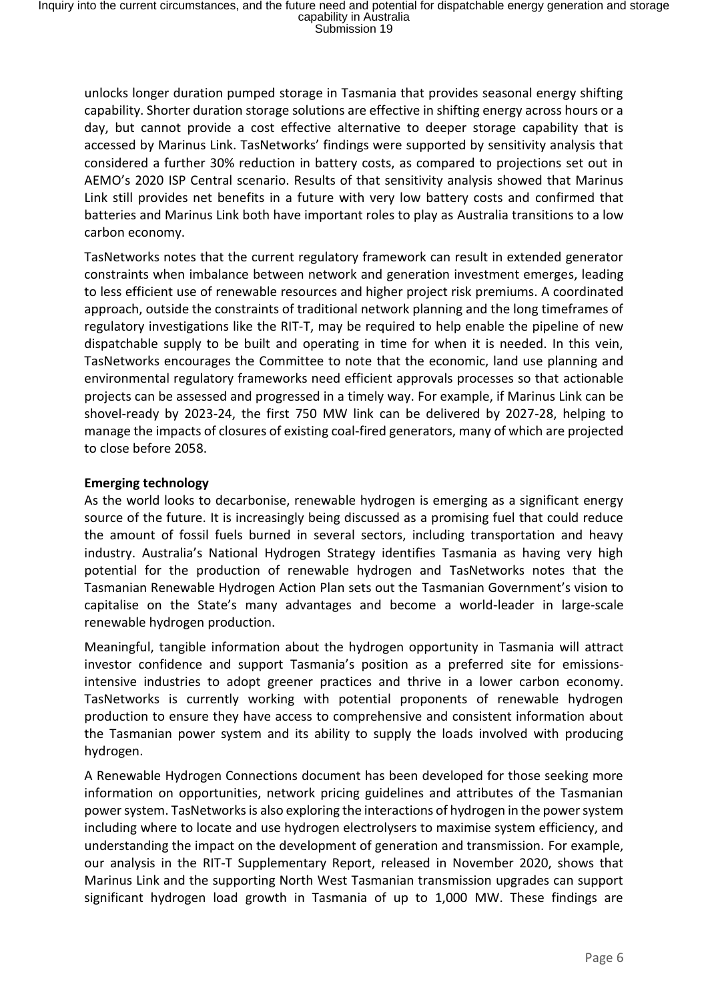unlocks longer duration pumped storage in Tasmania that provides seasonal energy shifting capability. Shorter duration storage solutions are effective in shifting energy across hours or a day, but cannot provide a cost effective alternative to deeper storage capability that is accessed by Marinus Link. TasNetworks' findings were supported by sensitivity analysis that considered a further 30% reduction in battery costs, as compared to projections set out in AEMO's 2020 ISP Central scenario. Results of that sensitivity analysis showed that Marinus Link still provides net benefits in a future with very low battery costs and confirmed that batteries and Marinus Link both have important roles to play as Australia transitions to a low carbon economy.

TasNetworks notes that the current regulatory framework can result in extended generator constraints when imbalance between network and generation investment emerges, leading to less efficient use of renewable resources and higher project risk premiums. A coordinated approach, outside the constraints of traditional network planning and the long timeframes of regulatory investigations like the RIT-T, may be required to help enable the pipeline of new dispatchable supply to be built and operating in time for when it is needed. In this vein, TasNetworks encourages the Committee to note that the economic, land use planning and environmental regulatory frameworks need efficient approvals processes so that actionable projects can be assessed and progressed in a timely way. For example, if Marinus Link can be shovel-ready by 2023-24, the first 750 MW link can be delivered by 2027-28, helping to manage the impacts of closures of existing coal-fired generators, many of which are projected to close before 2058.

# **Emerging technology**

As the world looks to decarbonise, renewable hydrogen is emerging as a significant energy source of the future. It is increasingly being discussed as a promising fuel that could reduce the amount of fossil fuels burned in several sectors, including transportation and heavy industry. Australia's National Hydrogen Strategy identifies Tasmania as having very high potential for the production of renewable hydrogen and TasNetworks notes that the Tasmanian Renewable Hydrogen Action Plan sets out the Tasmanian Government's vision to capitalise on the State's many advantages and become a world-leader in large-scale renewable hydrogen production.

Meaningful, tangible information about the hydrogen opportunity in Tasmania will attract investor confidence and support Tasmania's position as a preferred site for emissionsintensive industries to adopt greener practices and thrive in a lower carbon economy. TasNetworks is currently working with potential proponents of renewable hydrogen production to ensure they have access to comprehensive and consistent information about the Tasmanian power system and its ability to supply the loads involved with producing hydrogen.

A Renewable Hydrogen Connections document has been developed for those seeking more information on opportunities, network pricing guidelines and attributes of the Tasmanian power system. TasNetworks is also exploring the interactions of hydrogen in the power system including where to locate and use hydrogen electrolysers to maximise system efficiency, and understanding the impact on the development of generation and transmission. For example, our analysis in the RIT-T Supplementary Report, released in November 2020, shows that Marinus Link and the supporting North West Tasmanian transmission upgrades can support significant hydrogen load growth in Tasmania of up to 1,000 MW. These findings are